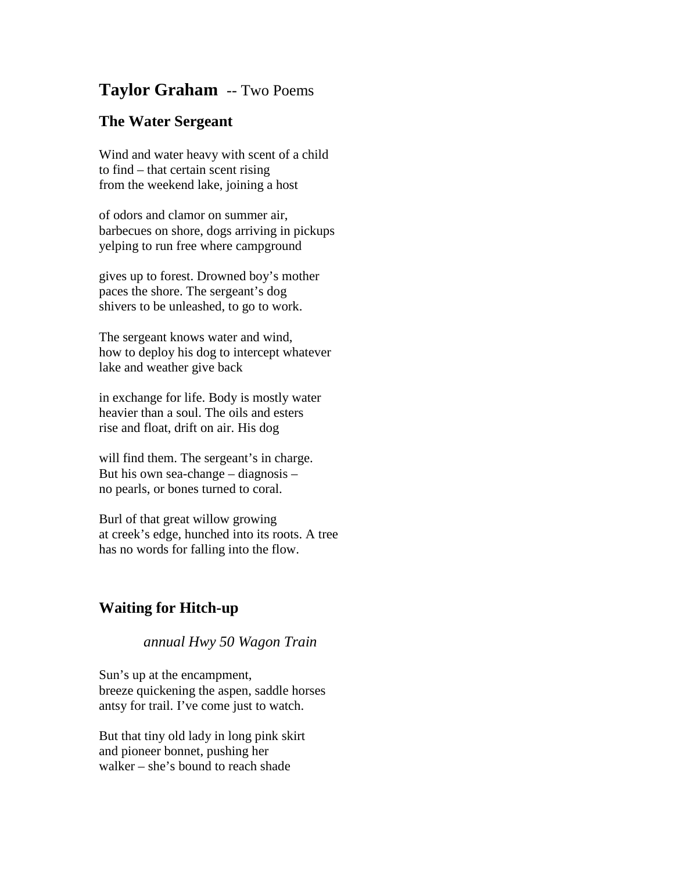## **Taylor Graham** -- Two Poems

## **The Water Sergeant**

Wind and water heavy with scent of a child to find – that certain scent rising from the weekend lake, joining a host

of odors and clamor on summer air, barbecues on shore, dogs arriving in pickups yelping to run free where campground

gives up to forest. Drowned boy's mother paces the shore. The sergeant's dog shivers to be unleashed, to go to work.

The sergeant knows water and wind, how to deploy his dog to intercept whatever lake and weather give back

in exchange for life. Body is mostly water heavier than a soul. The oils and esters rise and float, drift on air. His dog

will find them. The sergeant's in charge. But his own sea-change – diagnosis – no pearls, or bones turned to coral.

Burl of that great willow growing at creek's edge, hunched into its roots. A tree has no words for falling into the flow.

## **Waiting for Hitch-up**

## *annual Hwy 50 Wagon Train*

Sun's up at the encampment, breeze quickening the aspen, saddle horses antsy for trail. I've come just to watch.

But that tiny old lady in long pink skirt and pioneer bonnet, pushing her walker – she's bound to reach shade